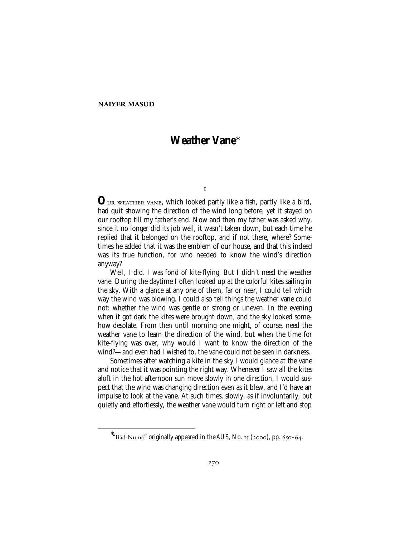## **NAIYER MASUD**

j

# **Weather Vane**

 $\mathbf{I}$ 

OUR WEATHER VANE, which looked partly like a fish, partly like a bird, had quit showing the direction of the wind long before, yet it stayed on our rooftop till my father's end. Now and then my father was asked why, since it no longer did its job well, it wasn't taken down, but each time he replied that it belonged on the rooftop, and if not there, where? Sometimes he added that it was the emblem of our house, and that this indeed was its true function, for who needed to know the wind's direction anyway?

Well, I did. I was fond of kite-flying. But I didn't need the weather vane. During the daytime I often looked up at the colorful kites sailing in the sky. With a glance at any one of them, far or near, I could tell which way the wind was blowing. I could also tell things the weather vane could not: whether the wind was gentle or strong or uneven. In the evening when it got dark the kites were brought down, and the sky looked somehow desolate. From then until morning one might, of course, need the weather vane to learn the direction of the wind, but when the time for kite-flying was over, why would I want to know the direction of the wind?—and even had I wished to, the vane could not be seen in darkness.

Sometimes after watching a kite in the sky I would glance at the vane and notice that it was pointing the right way. Whenever I saw all the kites aloft in the hot afternoon sun move slowly in one direction, I would suspect that the wind was changing direction even as it blew, and I'd have an impulse to look at the vane. At such times, slowly, as if involuntarily, but quietly and effortlessly, the weather vane would turn right or left and stop

<sup>&</sup>quot;Bād-Numā" originally appeared in the  $AUS$ , No. 15 (2000), pp. 650–64.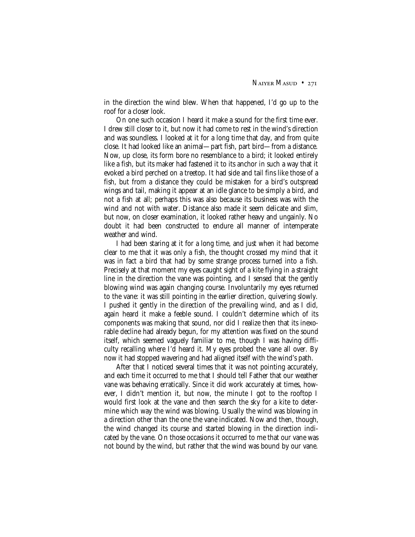in the direction the wind blew. When that happened, I'd go up to the roof for a closer look.

On one such occasion I heard it make a sound for the first time ever. I drew still closer to it, but now it had come to rest in the wind's direction and was soundless. I looked at it for a long time that day, and from quite close. It had looked like an animal—part fish, part bird—from a distance. Now, up close, its form bore no resemblance to a bird; it looked entirely like a fish, but its maker had fastened it to its anchor in such a way that it evoked a bird perched on a treetop. It had side and tail fins like those of a fish, but from a distance they could be mistaken for a bird's outspread wings and tail, making it appear at an idle glance to be simply a bird, and not a fish at all; perhaps this was also because its business was with the wind and not with water. Distance also made it seem delicate and slim, but now, on closer examination, it looked rather heavy and ungainly. No doubt it had been constructed to endure all manner of intemperate weather and wind.

I had been staring at it for a long time, and just when it had become clear to me that it was only a fish, the thought crossed my mind that it was in fact a bird that had by some strange process turned into a fish. Precisely at that moment my eyes caught sight of a kite flying in a straight line in the direction the vane was pointing, and I sensed that the gently blowing wind was again changing course. Involuntarily my eyes returned to the vane: it was still pointing in the earlier direction, quivering slowly. I pushed it gently in the direction of the prevailing wind, and as I did, again heard it make a feeble sound. I couldn't determine which of its components was making that sound, nor did I realize then that its inexorable decline had already begun, for my attention was fixed on the sound itself, which seemed vaguely familiar to me, though I was having difficulty recalling where I'd heard it. My eyes probed the vane all over. By now it had stopped wavering and had aligned itself with the wind's path.

After that I noticed several times that it was not pointing accurately, and each time it occurred to me that I should tell Father that our weather vane was behaving erratically. Since it did work accurately at times, however, I didn't mention it, but now, the minute I got to the rooftop I would first look at the vane and then search the sky for a kite to determine which way the wind was blowing. Usually the wind was blowing in a direction other than the one the vane indicated. Now and then, though, the wind changed its course and started blowing in the direction indicated by the vane. On those occasions it occurred to me that our vane was not bound by the wind, but rather that the wind was bound by our vane.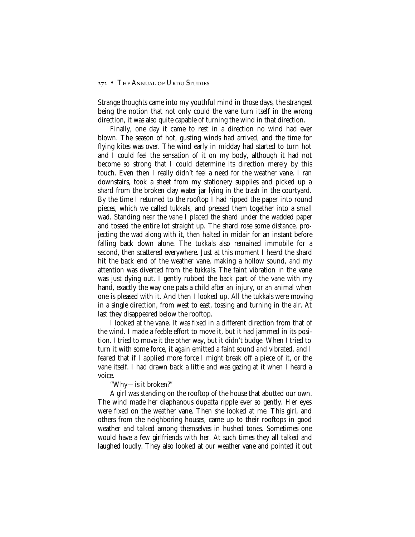Strange thoughts came into my youthful mind in those days, the strangest being the notion that not only could the vane turn itself in the wrong direction, it was also quite capable of turning the wind in that direction.

Finally, one day it came to rest in a direction no wind had ever blown. The season of hot, gusting winds had arrived, and the time for flying kites was over. The wind early in midday had started to turn hot and I could feel the sensation of it on my body, although it had not become so strong that I could determine its direction merely by this touch. Even then I really didn't feel a need for the weather vane. I ran downstairs, took a sheet from my stationery supplies and picked up a shard from the broken clay water jar lying in the trash in the courtyard. By the time I returned to the rooftop I had ripped the paper into round pieces, which we called *tukkals*, and pressed them together into a small wad. Standing near the vane I placed the shard under the wadded paper and tossed the entire lot straight up. The shard rose some distance, projecting the wad along with it, then halted in midair for an instant before falling back down alone. The *tukkals* also remained immobile for a second, then scattered everywhere. Just at this moment I heard the shard hit the back end of the weather vane, making a hollow sound, and my attention was diverted from the *tukkals*. The faint vibration in the vane was just dying out. I gently rubbed the back part of the vane with my hand, exactly the way one pats a child after an injury, or an animal when one is pleased with it. And then I looked up. All the *tukkals* were moving in a single direction, from west to east, tossing and turning in the air. At last they disappeared below the rooftop.

I looked at the vane. It was fixed in a different direction from that of the wind. I made a feeble effort to move it, but it had jammed in its position. I tried to move it the other way, but it didn't budge. When I tried to turn it with some force, it again emitted a faint sound and vibrated, and I feared that if I applied more force I might break off a piece of it, or the vane itself. I had drawn back a little and was gazing at it when I heard a voice.

"Why—is it broken?"

A girl was standing on the rooftop of the house that abutted our own. The wind made her diaphanous dupatta ripple ever so gently. Her eyes were fixed on the weather vane. Then she looked at me. This girl, and others from the neighboring houses, came up to their rooftops in good weather and talked among themselves in hushed tones. Sometimes one would have a few girlfriends with her. At such times they all talked and laughed loudly. They also looked at our weather vane and pointed it out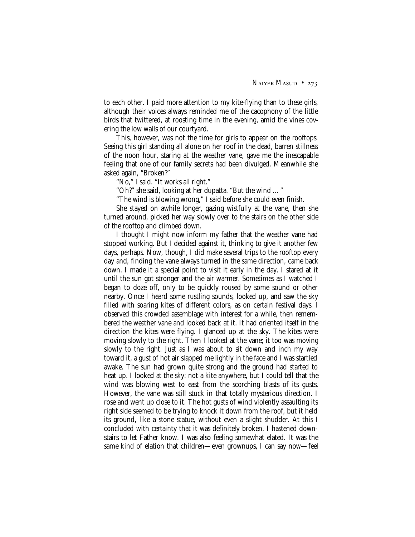to each other. I paid more attention to my kite-flying than to these girls, although their voices always reminded me of the cacophony of the little birds that twittered, at roosting time in the evening, amid the vines covering the low walls of our courtyard.

This, however, was not the time for girls to appear on the rooftops. Seeing this girl standing all alone on her roof in the dead, barren stillness of the noon hour, staring at the weather vane, gave me the inescapable feeling that one of our family secrets had been divulged. Meanwhile she asked again, "Broken?"

"No," I said. "It works all right."

"Oh?" she said, looking at her dupatta. "But the wind …"

"The wind is blowing wrong," I said before she could even finish.

She stayed on awhile longer, gazing wistfully at the vane, then she turned around, picked her way slowly over to the stairs on the other side of the rooftop and climbed down.

I thought I might now inform my father that the weather vane had stopped working. But I decided against it, thinking to give it another few days, perhaps. Now, though, I did make several trips to the rooftop every day and, finding the vane always turned in the same direction, came back down. I made it a special point to visit it early in the day. I stared at it until the sun got stronger and the air warmer. Sometimes as I watched I began to doze off, only to be quickly roused by some sound or other nearby. Once I heard some rustling sounds, looked up, and saw the sky filled with soaring kites of different colors, as on certain festival days. I observed this crowded assemblage with interest for a while, then remembered the weather vane and looked back at it. It had oriented itself in the direction the kites were flying. I glanced up at the sky. The kites were moving slowly to the right. Then I looked at the vane; it too was moving slowly to the right. Just as I was about to sit down and inch my way toward it, a gust of hot air slapped me lightly in the face and I was startled awake. The sun had grown quite strong and the ground had started to heat up. I looked at the sky: not a kite anywhere, but I could tell that the wind was blowing west to east from the scorching blasts of its gusts. However, the vane was still stuck in that totally mysterious direction. I rose and went up close to it. The hot gusts of wind violently assaulting its right side seemed to be trying to knock it down from the roof, but it held its ground, like a stone statue, without even a slight shudder. At this I concluded with certainty that it was definitely broken. I hastened downstairs to let Father know. I was also feeling somewhat elated. It was the same kind of elation that children—even grownups, I can say now—feel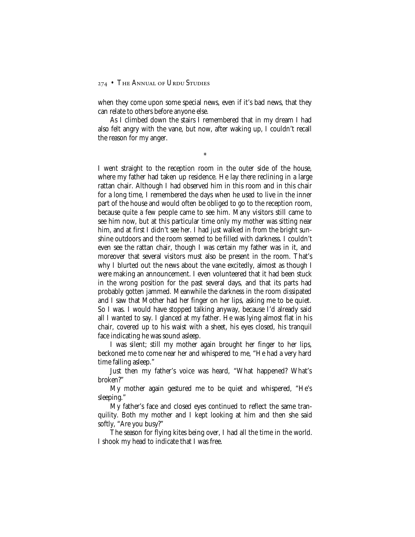when they come upon some special news, even if it's bad news, that they can relate to others before anyone else.

As I climbed down the stairs I remembered that in my dream I had also felt angry with the vane, but now, after waking up, I couldn't recall the reason for my anger.

\*

I went straight to the reception room in the outer side of the house, where my father had taken up residence. He lay there reclining in a large rattan chair. Although I had observed him in this room and in this chair for a long time, I remembered the days when he used to live in the inner part of the house and would often be obliged to go to the reception room, because quite a few people came to see him. Many visitors still came to see him now, but at this particular time only my mother was sitting near him, and at first I didn't see her. I had just walked in from the bright sunshine outdoors and the room seemed to be filled with darkness. I couldn't even see the rattan chair, though I was certain my father was in it, and moreover that several visitors must also be present in the room. That's why I blurted out the news about the vane excitedly, almost as though I were making an announcement. I even volunteered that it had been stuck in the wrong position for the past several days, and that its parts had probably gotten jammed. Meanwhile the darkness in the room dissipated and I saw that Mother had her finger on her lips, asking me to be quiet. So I was. I would have stopped talking anyway, because I'd already said all I wanted to say. I glanced at my father. He was lying almost flat in his chair, covered up to his waist with a sheet, his eyes closed, his tranquil face indicating he was sound asleep.

I was silent; still my mother again brought her finger to her lips, beckoned me to come near her and whispered to me, "He had a very hard time falling asleep."

Just then my father's voice was heard, "What happened? What's broken?"

My mother again gestured me to be quiet and whispered, "He's sleeping."

My father's face and closed eyes continued to reflect the same tranquility. Both my mother and I kept looking at him and then she said softly, "Are you busy?"

The season for flying kites being over, I had all the time in the world. I shook my head to indicate that I was free.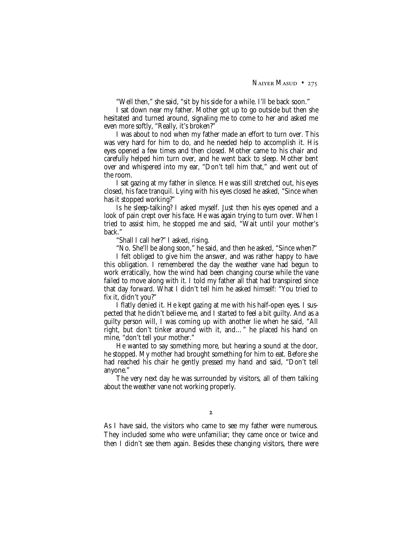"Well then," she said, "sit by his side for a while. I'll be back soon."

I sat down near my father. Mother got up to go outside but then she hesitated and turned around, signaling me to come to her and asked me even more softly, "Really, it's broken?"

I was about to nod when my father made an effort to turn over. This was very hard for him to do, and he needed help to accomplish it. His eyes opened a few times and then closed. Mother came to his chair and carefully helped him turn over, and he went back to sleep. Mother bent over and whispered into my ear, "Don't tell him that," and went out of the room.

I sat gazing at my father in silence. He was still stretched out, his eyes closed, his face tranquil. Lying with his eyes closed he asked, "Since when has it stopped working?"

Is he sleep-talking? I asked myself. Just then his eyes opened and a look of pain crept over his face. He was again trying to turn over. When I tried to assist him, he stopped me and said, "Wait until your mother's back."

"Shall I call her?" I asked, rising.

"No. She'll be along soon," he said, and then he asked, "Since when?"

I felt obliged to give him the answer, and was rather happy to have this obligation. I remembered the day the weather vane had begun to work erratically, how the wind had been changing course while the vane failed to move along with it. I told my father all that had transpired since that day forward. What I didn't tell him he asked himself: "You tried to fix it, didn't you?"

I flatly denied it. He kept gazing at me with his half-open eyes. I suspected that he didn't believe me, and I started to feel a bit guilty. And as a guilty person will, I was coming up with another lie when he said, "All right, but don't tinker around with it, and…" he placed his hand on mine, "don't tell your mother."

He wanted to say something more, but hearing a sound at the door, he stopped. My mother had brought something for him to eat. Before she had reached his chair he gently pressed my hand and said, "Don't tell anyone."

The very next day he was surrounded by visitors, all of them talking about the weather vane not working properly.

 $\overline{2}$ 

As I have said, the visitors who came to see my father were numerous. They included some who were unfamiliar; they came once or twice and then I didn't see them again. Besides these changing visitors, there were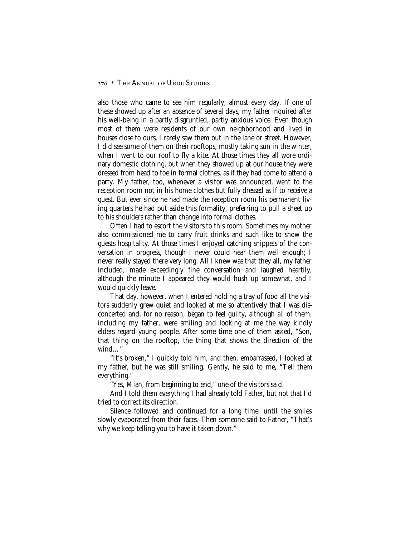also those who came to see him regularly, almost every day. If one of these showed up after an absence of several days, my father inquired after his well-being in a partly disgruntled, partly anxious voice. Even though most of them were residents of our own neighborhood and lived in houses close to ours, I rarely saw them out in the lane or street. However, I did see some of them on their rooftops, mostly taking sun in the winter, when I went to our roof to fly a kite. At those times they all wore ordinary domestic clothing, but when they showed up at our house they were dressed from head to toe in formal clothes, as if they had come to attend a party. My father, too, whenever a visitor was announced, went to the reception room not in his home clothes but fully dressed as if to receive a guest. But ever since he had made the reception room his permanent living quarters he had put aside this formality, preferring to pull a sheet up to his shoulders rather than change into formal clothes.

Often I had to escort the visitors to this room. Sometimes my mother also commissioned me to carry fruit drinks and such like to show the guests hospitality. At those times I enjoyed catching snippets of the conversation in progress, though I never could hear them well enough; I never really stayed there very long. All I knew was that they all, my father included, made exceedingly fine conversation and laughed heartily, although the minute I appeared they would hush up somewhat, and I would quickly leave.

That day, however, when I entered holding a tray of food all the visitors suddenly grew quiet and looked at me so attentively that I was disconcerted and, for no reason, began to feel guilty, although all of them, including my father, were smiling and looking at me the way kindly elders regard young people. After some time one of them asked, "Son, that thing on the rooftop, the thing that shows the direction of the wind…"

"It's broken," I quickly told him, and then, embarrassed, I looked at my father, but he was still smiling. Gently, he said to me, "Tell them everything."

"Yes, Mian, from beginning to end," one of the visitors said.

And I told them everything I had already told Father, but not that I'd tried to correct its direction.

Silence followed and continued for a long time, until the smiles slowly evaporated from their faces. Then someone said to Father, "That's why we keep telling you to have it taken down."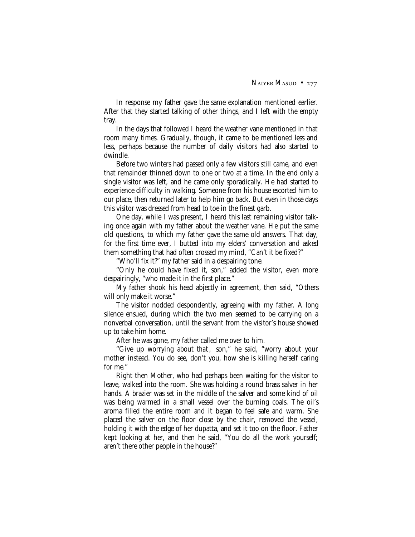In response my father gave the same explanation mentioned earlier. After that they started talking of other things, and I left with the empty tray.

In the days that followed I heard the weather vane mentioned in that room many times. Gradually, though, it came to be mentioned less and less, perhaps because the number of daily visitors had also started to dwindle.

Before two winters had passed only a few visitors still came, and even that remainder thinned down to one or two at a time. In the end only a single visitor was left, and he came only sporadically. He had started to experience difficulty in walking. Someone from his house escorted him to our place, then returned later to help him go back. But even in those days this visitor was dressed from head to toe in the finest garb.

One day, while I was present, I heard this last remaining visitor talking once again with my father about the weather vane. He put the same old questions, to which my father gave the same old answers. That day, for the first time ever, I butted into my elders' conversation and asked them something that had often crossed my mind, "Can't it be fixed?"

"Who'll fix it?" my father said in a despairing tone.

"Only he could have fixed it, son," added the visitor, even more despairingly, "who made it in the first place."

My father shook his head abjectly in agreement, then said, "Others will only make it worse."

The visitor nodded despondently, agreeing with my father. A long silence ensued, during which the two men seemed to be carrying on a nonverbal conversation, until the servant from the visitor's house showed up to take him home.

After he was gone, my father called me over to him.

"Give up worrying about *that*, son," he said, "worry about your mother instead. You do see, don't you, how she is killing herself caring for me."

Right then Mother, who had perhaps been waiting for the visitor to leave, walked into the room. She was holding a round brass salver in her hands. A brazier was set in the middle of the salver and some kind of oil was being warmed in a small vessel over the burning coals. The oil's aroma filled the entire room and it began to feel safe and warm. She placed the salver on the floor close by the chair, removed the vessel, holding it with the edge of her dupatta, and set it too on the floor. Father kept looking at her, and then he said, "You do all the work yourself; aren't there other people in the house?"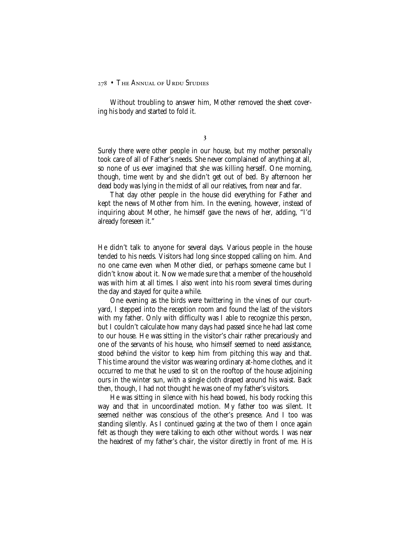Without troubling to answer him, Mother removed the sheet covering his body and started to fold it.

 $\overline{\mathbf{3}}$ 

Surely there were other people in our house, but my mother personally took care of all of Father's needs. She never complained of anything at all, so none of us ever imagined that she was killing herself. One morning, though, time went by and she didn't get out of bed. By afternoon her dead body was lying in the midst of all our relatives, from near and far.

That day other people in the house did everything for Father and kept the news of Mother from him. In the evening, however, instead of inquiring about Mother, he himself gave the news of her, adding, "I'd already foreseen it."

He didn't talk to anyone for several days. Various people in the house tended to his needs. Visitors had long since stopped calling on him. And no one came even when Mother died, or perhaps someone came but I didn't know about it. Now we made sure that a member of the household was with him at all times. I also went into his room several times during the day and stayed for quite a while.

One evening as the birds were twittering in the vines of our courtyard, I stepped into the reception room and found the last of the visitors with my father. Only with difficulty was I able to recognize this person, but I couldn't calculate how many days had passed since he had last come to our house. He was sitting in the visitor's chair rather precariously and one of the servants of his house, who himself seemed to need assistance, stood behind the visitor to keep him from pitching this way and that. This time around the visitor was wearing ordinary at-home clothes, and it occurred to me that he used to sit on the rooftop of the house adjoining ours in the winter sun, with a single cloth draped around his waist. Back then, though, I had not thought he was one of my father's visitors.

He was sitting in silence with his head bowed, his body rocking this way and that in uncoordinated motion. My father too was silent. It seemed neither was conscious of the other's presence. And I too was standing silently. As I continued gazing at the two of them I once again felt as though they were talking to each other without words. I was near the headrest of my father's chair, the visitor directly in front of me. His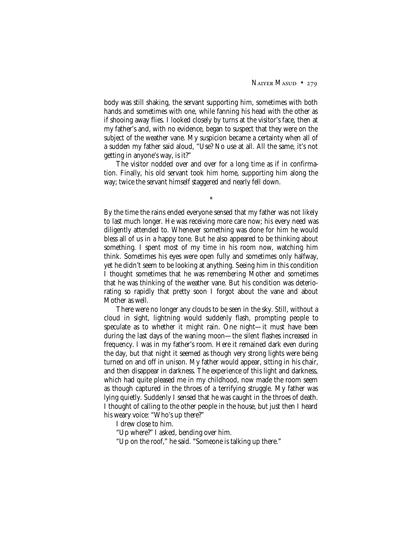body was still shaking, the servant supporting him, sometimes with both hands and sometimes with one, while fanning his head with the other as if shooing away flies. I looked closely by turns at the visitor's face, then at my father's and, with no evidence, began to suspect that they were on the subject of the weather vane. My suspicion became a certainty when all of a sudden my father said aloud, "Use? No use at all. All the same, it's not getting in anyone's way, is it?"

The visitor nodded over and over for a long time as if in confirmation. Finally, his old servant took him home, supporting him along the way; twice the servant himself staggered and nearly fell down.

\*

By the time the rains ended everyone sensed that my father was not likely to last much longer. He was receiving more care now; his every need was diligently attended to. Whenever something was done for him he would bless all of us in a happy tone. But he also appeared to be thinking about something. I spent most of my time in his room now, watching him think. Sometimes his eyes were open fully and sometimes only halfway, yet he didn't seem to be looking at anything. Seeing him in this condition I thought sometimes that he was remembering Mother and sometimes that he was thinking of the weather vane. But his condition was deteriorating so rapidly that pretty soon I forgot about the vane and about Mother as well.

There were no longer any clouds to be seen in the sky. Still, without a cloud in sight, lightning would suddenly flash, prompting people to speculate as to whether it might rain. One night—it must have been during the last days of the waning moon—the silent flashes increased in frequency. I was in my father's room. Here it remained dark even during the day, but that night it seemed as though very strong lights were being turned on and off in unison. My father would appear, sitting in his chair, and then disappear in darkness. The experience of this light and darkness, which had quite pleased me in my childhood, now made the room seem as though captured in the throes of a terrifying struggle. My father was lying quietly. Suddenly I sensed that he was caught in the throes of death. I thought of calling to the other people in the house, but just then I heard his weary voice: "Who's up there?"

I drew close to him.

"Up where?" I asked, bending over him.

"Up on the roof," he said. "Someone is talking up there."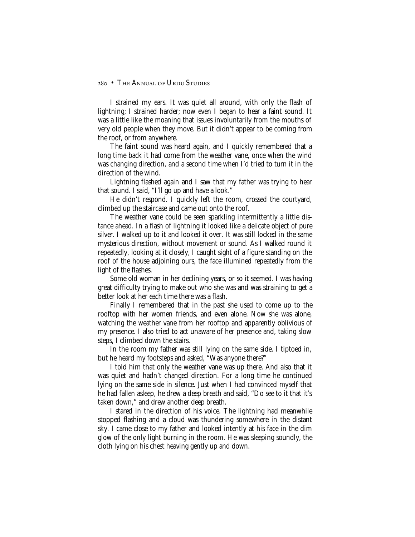I strained my ears. It was quiet all around, with only the flash of lightning; I strained harder; now even I began to hear a faint sound. It was a little like the moaning that issues involuntarily from the mouths of very old people when they move. But it didn't appear to be coming from the roof, or from anywhere.

The faint sound was heard again, and I quickly remembered that a long time back it had come from the weather vane, once when the wind was changing direction, and a second time when I'd tried to turn it in the direction of the wind.

Lightning flashed again and I saw that my father was trying to hear that sound. I said, "I'll go up and have a look."

He didn't respond. I quickly left the room, crossed the courtyard, climbed up the staircase and came out onto the roof.

The weather vane could be seen sparkling intermittently a little distance ahead. In a flash of lightning it looked like a delicate object of pure silver. I walked up to it and looked it over. It was still locked in the same mysterious direction, without movement or sound. As I walked round it repeatedly, looking at it closely, I caught sight of a figure standing on the roof of the house adjoining ours, the face illumined repeatedly from the light of the flashes.

Some old woman in her declining years, or so it seemed. I was having great difficulty trying to make out who she was and was straining to get a better look at her each time there was a flash.

Finally I remembered that in the past she used to come up to the rooftop with her women friends, and even alone. Now she was alone, watching the weather vane from her rooftop and apparently oblivious of my presence. I also tried to act unaware of her presence and, taking slow steps, I climbed down the stairs.

In the room my father was still lying on the same side. I tiptoed in, but he heard my footsteps and asked, "Was anyone there?"

I told him that only the weather vane was up there. And also that it was quiet and hadn't changed direction. For a long time he continued lying on the same side in silence. Just when I had convinced myself that he had fallen asleep, he drew a deep breath and said, "Do see to it that it's taken down," and drew another deep breath.

I stared in the direction of his voice. The lightning had meanwhile stopped flashing and a cloud was thundering somewhere in the distant sky. I came close to my father and looked intently at his face in the dim glow of the only light burning in the room. He was sleeping soundly, the cloth lying on his chest heaving gently up and down.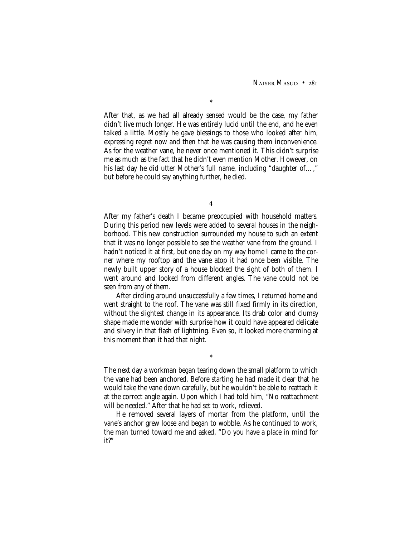NAIYER MASUD • 281

After that, as we had all already sensed would be the case, my father didn't live much longer. He was entirely lucid until the end, and he even talked a little. Mostly he gave blessings to those who looked after him, expressing regret now and then that he was causing them inconvenience. As for the weather vane, he never once mentioned it. This didn't surprise me as much as the fact that he didn't even mention Mother. However, on his last day he did utter Mother's full name, including "daughter of...," but before he could say anything further, he died.

\*

 $\overline{\mathbf{4}}$ 

After my father's death I became preoccupied with household matters. During this period new levels were added to several houses in the neighborhood. This new construction surrounded my house to such an extent that it was no longer possible to see the weather vane from the ground. I hadn't noticed it at first, but one day on my way home I came to the corner where my rooftop and the vane atop it had once been visible. The newly built upper story of a house blocked the sight of both of them. I went around and looked from different angles. The vane could not be seen from any of them.

After circling around unsuccessfully a few times, I returned home and went straight to the roof. The vane was still fixed firmly in its direction, without the slightest change in its appearance. Its drab color and clumsy shape made me wonder with surprise how it could have appeared delicate and silvery in that flash of lightning. Even so, it looked more charming at this moment than it had that night.

The next day a workman began tearing down the small platform to which the vane had been anchored. Before starting he had made it clear that he would take the vane down carefully, but he wouldn't be able to reattach it at the correct angle again. Upon which I had told him, "No reattachment will be needed." After that he had set to work, relieved.

\*

He removed several layers of mortar from the platform, until the vane's anchor grew loose and began to wobble. As he continued to work, the man turned toward me and asked, "Do you have a place in mind for it?"